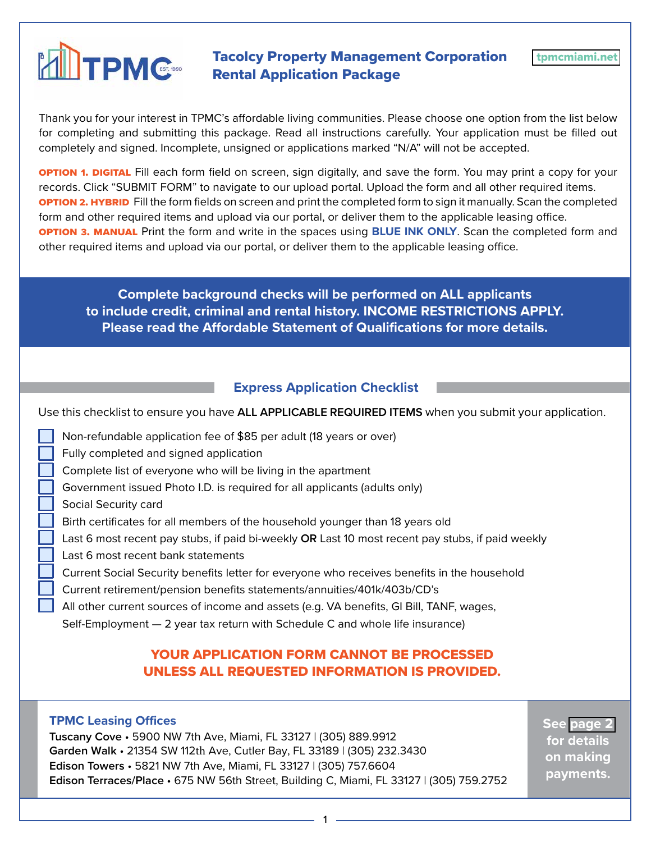# **Tacolcy Property Management Corporation**<br>Rental Application Package Rental Application Package

Thank you for your interest in TPMC's affordable living communities. Please choose one option from the list below for completing and submitting this package. Read all instructions carefully. Your application must be filled out completely and signed. Incomplete, unsigned or applications marked "N/A" will not be accepted.

**OPTION 1. DIGITAL** Fill each form field on screen, sign digitally, and save the form. You may print a copy for your records. Click "SUBMIT FORM" to navigate to our upload portal. Upload the form and all other required items. option 2. Hybrid Fill the form fields on screen and print the completed form to sign it manually. Scan the completed form and other required items and upload via our portal, or deliver them to the applicable leasing office. **OPTION 3. MANUAL** Print the form and write in the spaces using **BLUE INK ONLY**. Scan the completed form and other required items and upload via our portal, or deliver them to the applicable leasing office.

**Complete background checks will be performed on ALL applicants to include credit, criminal and rental history. INCOME RESTRICTIONS APPLY. Please read the Affordable Statement of Qualifications for more details.**

# **Express Application Checklist**

Use this checklist to ensure you have **ALL APPLICABLE REQUIRED ITEMS** when you submit your application.

- Non-refundable application fee of \$85 per adult (18 years or over)
- Fully completed and signed application
- Complete list of everyone who will be living in the apartment
- Government issued Photo I.D. is required for all applicants (adults only)
- Social Security card
- Birth certificates for all members of the household younger than 18 years old
- Last 6 most recent pay stubs, if paid bi-weekly **OR** Last 10 most recent pay stubs, if paid weekly
- Last 6 most recent bank statements
- Current Social Security benefits letter for everyone who receives benefits in the household
- Current retirement/pension benefits statements/annuities/401k/403b/CD's
- All other current sources of income and assets (e.g. VA benefits, GI Bill, TANF, wages,
- Self-Employment 2 year tax return with Schedule C and whole life insurance)

# YOUR APPLICATION FORM CANNOT BE PROCESSED UNLESS ALL REQUESTED INFORMATION IS PROVIDED.

#### **TPMC Leasing Offices**

**Tuscany Cove** • 5900 NW 7th Ave, Miami, FL 33127 | (305) 889.9912 **Garden Walk** • 21354 SW 112th Ave, Cutler Bay, FL 33189 | (305) 232.3430 **Edison Towers** • 5821 NW 7th Ave, Miami, FL 33127 | (305) 757.6604 **Edison Terraces/Place** • 675 NW 56th Street, Building C, Miami, FL 33127 | (305) 759.2752 **See page 2 for details on making payments.**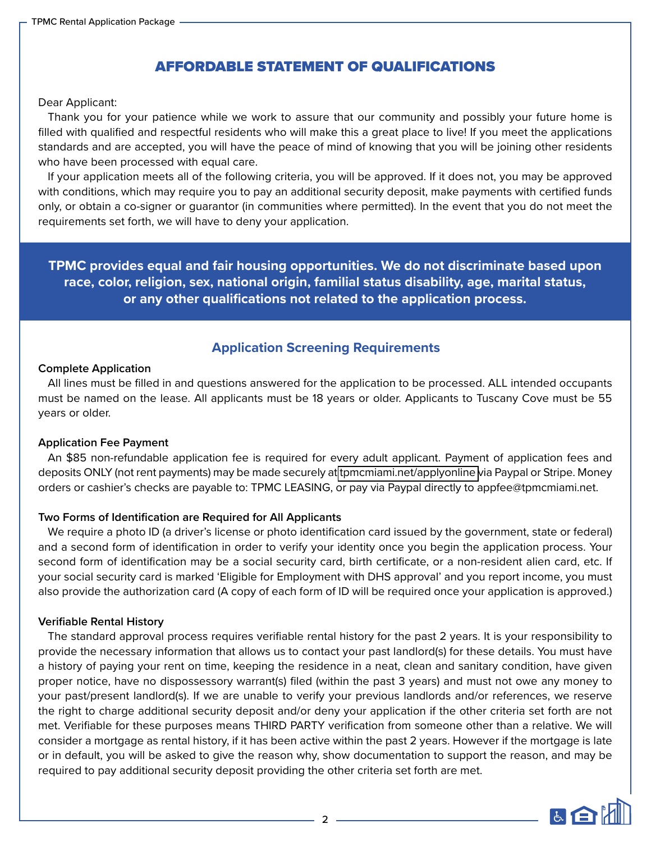# AFFORDABLE STATEMENT OF QUALIFICATIONS

#### Dear Applicant:

Thank you for your patience while we work to assure that our community and possibly your future home is filled with qualified and respectful residents who will make this a great place to live! If you meet the applications standards and are accepted, you will have the peace of mind of knowing that you will be joining other residents who have been processed with equal care.

If your application meets all of the following criteria, you will be approved. If it does not, you may be approved with conditions, which may require you to pay an additional security deposit, make payments with certified funds only, or obtain a co-signer or guarantor (in communities where permitted). In the event that you do not meet the requirements set forth, we will have to deny your application.

**TPMC provides equal and fair housing opportunities. We do not discriminate based upon race, color, religion, sex, national origin, familial status disability, age, marital status, or any other qualifications not related to the application process.**

# **Application Screening Requirements**

#### **Complete Application**

All lines must be filled in and questions answered for the application to be processed. ALL intended occupants must be named on the lease. All applicants must be 18 years or older. Applicants to Tuscany Cove must be 55 years or older.

#### **Application Fee Payment**

An \$85 non-refundable application fee is required for every adult applicant. Payment of application fees and deposits ONLY (not rent payments) may be made securely at [tpmcmiami.net/applyonline v](https://www.tpmcmiami.net/applyonline)ia Paypal or Stripe. Money orders or cashier's checks are payable to: TPMC LEASING, or pay via Paypal directly to appfee@tpmcmiami.net.

#### **Two Forms of Identification are Required for All Applicants**

We require a photo ID (a driver's license or photo identification card issued by the government, state or federal) and a second form of identification in order to verify your identity once you begin the application process. Your second form of identification may be a social security card, birth certificate, or a non-resident alien card, etc. If your social security card is marked 'Eligible for Employment with DHS approval' and you report income, you must also provide the authorization card (A copy of each form of ID will be required once your application is approved.)

#### **Verifiable Rental History**

The standard approval process requires verifiable rental history for the past 2 years. It is your responsibility to provide the necessary information that allows us to contact your past landlord(s) for these details. You must have a history of paying your rent on time, keeping the residence in a neat, clean and sanitary condition, have given proper notice, have no dispossessory warrant(s) filed (within the past 3 years) and must not owe any money to your past/present landlord(s). If we are unable to verify your previous landlords and/or references, we reserve the right to charge additional security deposit and/or deny your application if the other criteria set forth are not met. Verifiable for these purposes means THIRD PARTY verification from someone other than a relative. We will consider a mortgage as rental history, if it has been active within the past 2 years. However if the mortgage is late or in default, you will be asked to give the reason why, show documentation to support the reason, and may be required to pay additional security deposit providing the other criteria set forth are met.

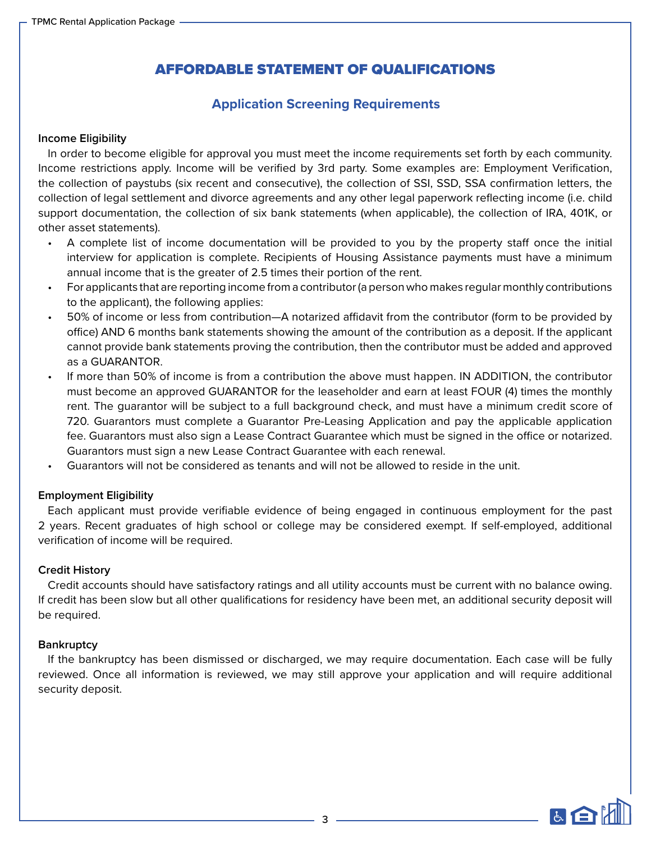# AFFORDABLE STATEMENT OF QUALIFICATIONS

# **Application Screening Requirements**

#### **Income Eligibility**

In order to become eligible for approval you must meet the income requirements set forth by each community. Income restrictions apply. Income will be verified by 3rd party. Some examples are: Employment Verification, the collection of paystubs (six recent and consecutive), the collection of SSI, SSD, SSA confirmation letters, the collection of legal settlement and divorce agreements and any other legal paperwork reflecting income (i.e. child support documentation, the collection of six bank statements (when applicable), the collection of IRA, 401K, or other asset statements).

- A complete list of income documentation will be provided to you by the property staff once the initial interview for application is complete. Recipients of Housing Assistance payments must have a minimum annual income that is the greater of 2.5 times their portion of the rent.
- For applicants that are reporting income from a contributor (a person who makes regular monthly contributions to the applicant), the following applies:
- 50% of income or less from contribution—A notarized affidavit from the contributor (form to be provided by office) AND 6 months bank statements showing the amount of the contribution as a deposit. If the applicant cannot provide bank statements proving the contribution, then the contributor must be added and approved as a GUARANTOR.
- If more than 50% of income is from a contribution the above must happen. IN ADDITION, the contributor must become an approved GUARANTOR for the leaseholder and earn at least FOUR (4) times the monthly rent. The guarantor will be subject to a full background check, and must have a minimum credit score of 720. Guarantors must complete a Guarantor Pre-Leasing Application and pay the applicable application fee. Guarantors must also sign a Lease Contract Guarantee which must be signed in the office or notarized. Guarantors must sign a new Lease Contract Guarantee with each renewal.
- Guarantors will not be considered as tenants and will not be allowed to reside in the unit.

#### **Employment Eligibility**

Each applicant must provide verifiable evidence of being engaged in continuous employment for the past 2 years. Recent graduates of high school or college may be considered exempt. If self-employed, additional verification of income will be required.

#### **Credit History**

Credit accounts should have satisfactory ratings and all utility accounts must be current with no balance owing. If credit has been slow but all other qualifications for residency have been met, an additional security deposit will be required.

#### **Bankruptcy**

If the bankruptcy has been dismissed or discharged, we may require documentation. Each case will be fully reviewed. Once all information is reviewed, we may still approve your application and will require additional security deposit.

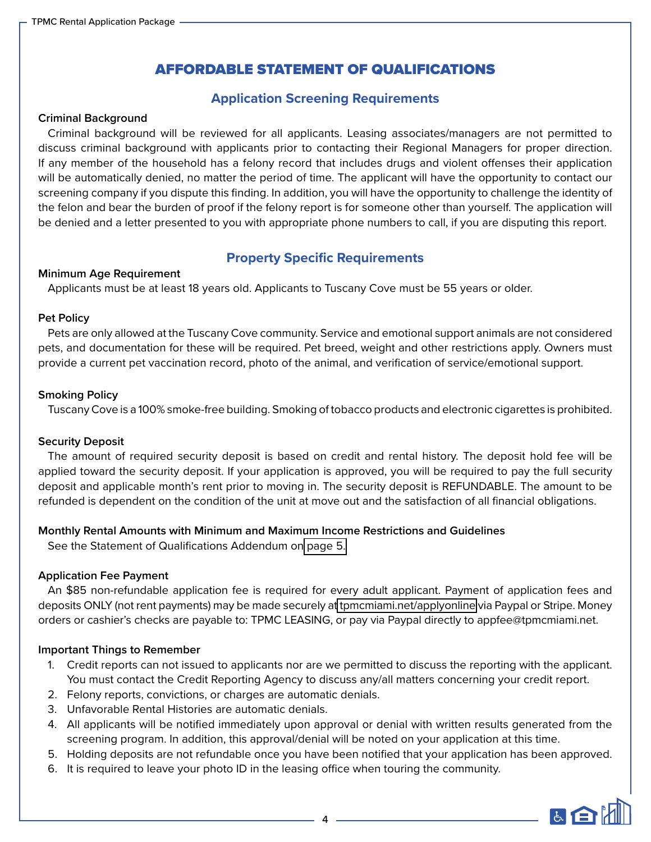# AFFORDABLE STATEMENT OF QUALIFICATIONS

# **Application Screening Requirements**

#### **Criminal Background**

Criminal background will be reviewed for all applicants. Leasing associates/managers are not permitted to discuss criminal background with applicants prior to contacting their Regional Managers for proper direction. If any member of the household has a felony record that includes drugs and violent offenses their application will be automatically denied, no matter the period of time. The applicant will have the opportunity to contact our screening company if you dispute this finding. In addition, you will have the opportunity to challenge the identity of the felon and bear the burden of proof if the felony report is for someone other than yourself. The application will be denied and a letter presented to you with appropriate phone numbers to call, if you are disputing this report.

# **Property Specific Requirements**

#### **Minimum Age Requirement**

Applicants must be at least 18 years old. Applicants to Tuscany Cove must be 55 years or older.

#### **Pet Policy**

Pets are only allowed at the Tuscany Cove community. Service and emotional support animals are not considered pets, and documentation for these will be required. Pet breed, weight and other restrictions apply. Owners must provide a current pet vaccination record, photo of the animal, and verification of service/emotional support.

#### **Smoking Policy**

Tuscany Cove is a 100% smoke-free building. Smoking of tobacco products and electronic cigarettes is prohibited.

#### **Security Deposit**

The amount of required security deposit is based on credit and rental history. The deposit hold fee will be applied toward the security deposit. If your application is approved, you will be required to pay the full security deposit and applicable month's rent prior to moving in. The security deposit is REFUNDABLE. The amount to be refunded is dependent on the condition of the unit at move out and the satisfaction of all financial obligations.

#### **Monthly Rental Amounts with Minimum and Maximum Income Restrictions and Guidelines**

See the Statement of Qualifications Addendum on page 5.

#### **Application Fee Payment**

An \$85 non-refundable application fee is required for every adult applicant. Payment of application fees and deposits ONLY (not rent payments) may be made securely a[t tpmcmiami.net/applyonline](https://www.tpmcmiami.net/applyonline) via Paypal or Stripe. Money orders or cashier's checks are payable to: TPMC LEASING, or pay via Paypal directly to appfee@tpmcmiami.net.

#### **Important Things to Remember**

- 1. Credit reports can not issued to applicants nor are we permitted to discuss the reporting with the applicant. You must contact the Credit Reporting Agency to discuss any/all matters concerning your credit report.
- 2. Felony reports, convictions, or charges are automatic denials.
- 3. Unfavorable Rental Histories are automatic denials.
- 4. All applicants will be notified immediately upon approval or denial with written results generated from the screening program. In addition, this approval/denial will be noted on your application at this time.
- 5. Holding deposits are not refundable once you have been notified that your application has been approved.
- 6. It is required to leave your photo ID in the leasing office when touring the community.

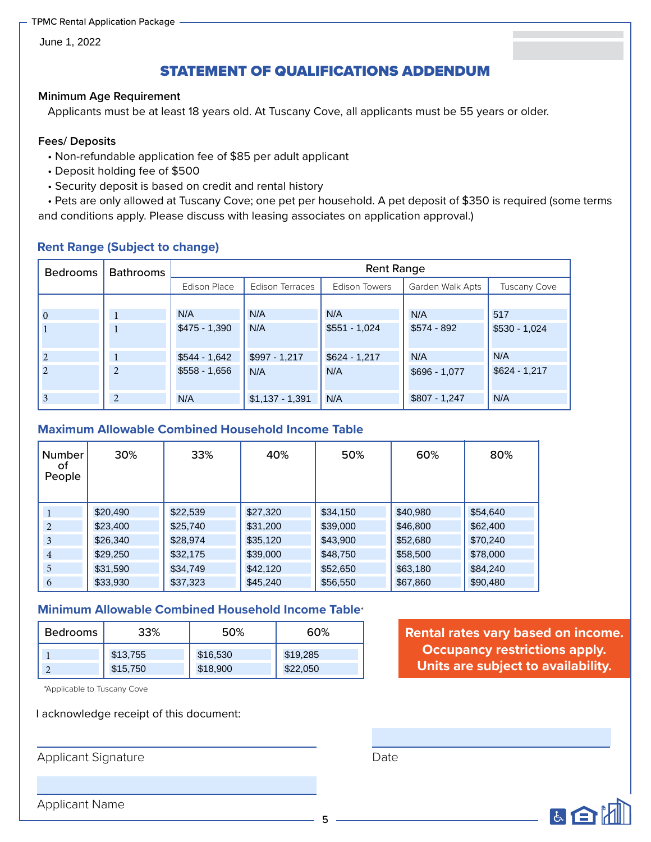June 1, 2022

# STATEMENT OF QUALIFICATIONS ADDENDUM

#### **Minimum Age Requirement**

Applicants must be at least 18 years old. At Tuscany Cove, all applicants must be 55 years or older.

#### **Fees/ Deposits**

- Non-refundable application fee of \$85 per adult applicant
- Deposit holding fee of \$500
- Security deposit is based on credit and rental history

• Pets are only allowed at Tuscany Cove; one pet per household. A pet deposit of \$350 is required (some terms and conditions apply. Please discuss with leasing associates on application approval.)

### **Rent Range (Subject to change)**

| <b>Bedrooms</b> | <b>Bathrooms</b> | <b>Rent Range</b>   |                  |                      |                  |                     |  |
|-----------------|------------------|---------------------|------------------|----------------------|------------------|---------------------|--|
|                 |                  | <b>Edison Place</b> | Edison Terraces  | <b>Edison Towers</b> | Garden Walk Apts | <b>Tuscany Cove</b> |  |
|                 |                  |                     |                  |                      |                  |                     |  |
| $\Omega$        |                  | N/A                 | N/A              | N/A                  | N/A              | 517                 |  |
|                 |                  | $$475 - 1,390$      | N/A              | $$551 - 1,024$       | $$574 - 892$     | $$530 - 1,024$      |  |
| 2               |                  | $$544 - 1,642$      | $$997 - 1,217$   | $$624 - 1,217$       | N/A              | N/A                 |  |
| 2               | $\overline{2}$   | $$558 - 1,656$      | N/A              | N/A                  | $$696 - 1,077$   | $$624 - 1,217$      |  |
| 3               | $\overline{c}$   | N/A                 | $$1,137 - 1,391$ | N/A                  | $$807 - 1,247$   | N/A                 |  |

### **Maximum Allowable Combined Household Income Table**

| $\bf{0}$                | 1                                                                | N/A      |                | N/A              | N/A            | N/A            | 517                                                           |
|-------------------------|------------------------------------------------------------------|----------|----------------|------------------|----------------|----------------|---------------------------------------------------------------|
| 1                       | 1                                                                |          | $$475 - 1,390$ | N/A              | $$551 - 1,024$ | $$574 - 892$   | $$530 - 1,024$                                                |
| $\overline{c}$          | $\mathbf{1}$                                                     |          | $$544 - 1,642$ | \$997 - 1,217    | $$624 - 1,217$ | N/A            | N/A                                                           |
| $\overline{2}$          | $\overline{2}$                                                   |          | $$558 - 1,656$ | N/A              | N/A            | \$696 - 1,077  | $$624 - 1,217$                                                |
| $\overline{\mathbf{3}}$ | $\overline{c}$                                                   | N/A      |                | $$1,137 - 1,391$ | N/A            | $$807 - 1,247$ | N/A                                                           |
| Number<br>οf<br>People  | <b>Maximum Allowable Combined Household Income Table</b><br>30%  |          | 33%            | 40%              | 50%            | 60%            | 80%                                                           |
| 1                       | \$20,490                                                         | \$22,539 |                | \$27,320         | \$34,150       | \$40.980       | \$54,640                                                      |
| $\overline{2}$          | \$23,400                                                         | \$25,740 |                | \$31,200         | \$39,000       | \$46,800       | \$62,400                                                      |
| 3                       | \$26,340                                                         | \$28,974 |                | \$35,120         | \$43,900       | \$52,680       | \$70,240                                                      |
| $\overline{4}$          | \$29,250                                                         | \$32,175 |                | \$39,000         | \$48,750       | \$58,500       | \$78,000                                                      |
| 5                       | \$31,590                                                         | \$34,749 |                | \$42,120         | \$52,650       | \$63,180       | \$84,240                                                      |
| 6                       | \$33,930                                                         | \$37,323 |                | \$45,240         | \$56,550       | \$67,860       | \$90,480                                                      |
|                         | <b>Minimum Allowable Combined Household Income Table*</b><br>33% |          | 50%            |                  | 60%            |                |                                                               |
| <b>Bedrooms</b>         |                                                                  |          |                |                  |                |                | <b>Rental rates vary based</b><br><b>Occupancy restrictio</b> |
|                         | \$13,755                                                         |          | \$16,530       | \$19,285         |                |                |                                                               |
| $\overline{2}$          | \$15,750                                                         |          | \$18,900       | \$22,050         |                |                | Units are subject to a                                        |

# **Minimum Allowable Combined Household Income Table**\*

| Bedrooms | 33%      | 50%      | 60%      |  |
|----------|----------|----------|----------|--|
|          | \$13,755 | \$16,530 | \$19,285 |  |
| $\sim$   | \$15,750 | \$18,900 | \$22,050 |  |

\*Applicable to Tuscany Cove

I acknowledge receipt of this document:

Applicant Signature

**Rental rates vary based on income. Occupancy restrictions apply. Units are subject to availability.**

Date



Applicant Name

5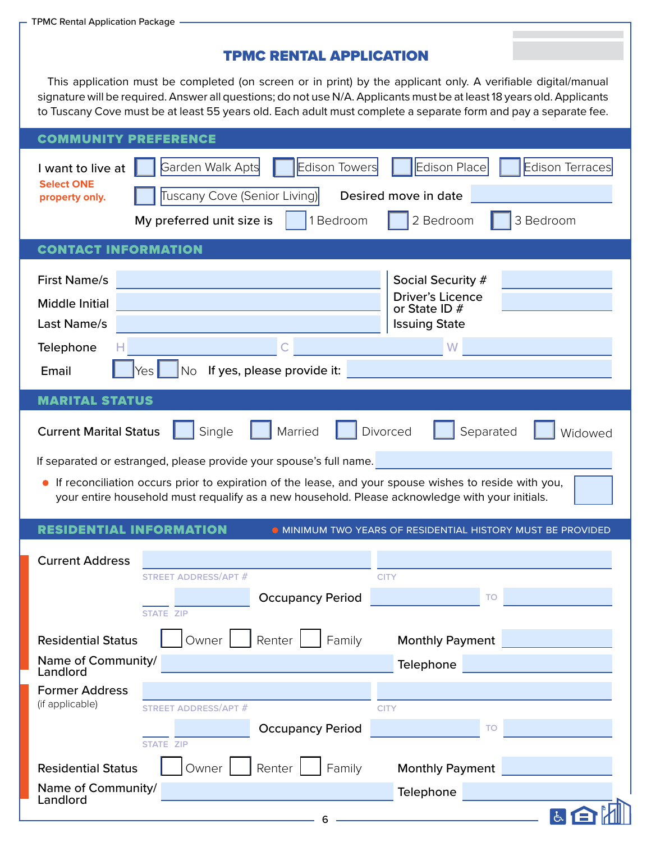Landlord

# TPMC RENTAL APPLICATION

This application must be completed (on screen or in print) by the applicant only. A verifiable digital/manual signature will be required. Answer all questions; do not use N/A. Applicants must be at least 18 years old. Applicants to Tuscany Cove must be at least 55 years old. Each adult must complete a separate form and pay a separate fee.

| <b>COMMUNITY PREFERENCE</b>                                                                                                                                                                                                                                                                                                          |                                                                                         |
|--------------------------------------------------------------------------------------------------------------------------------------------------------------------------------------------------------------------------------------------------------------------------------------------------------------------------------------|-----------------------------------------------------------------------------------------|
| <b>Edison Towers</b><br>Garden Walk Apts<br>I want to live at<br><b>Select ONE</b><br>Tuscany Cove (Senior Living)<br>property only.                                                                                                                                                                                                 | <b>Edison Place</b><br><b>Edison Terraces</b><br>Desired move in date                   |
| 1 Bedroom<br>My preferred unit size is                                                                                                                                                                                                                                                                                               | 2 Bedroom<br>3 Bedroom                                                                  |
| <b>CONTACT INFORMATION</b>                                                                                                                                                                                                                                                                                                           |                                                                                         |
| <b>First Name/s</b><br>Middle Initial<br>Last Name/s                                                                                                                                                                                                                                                                                 | Social Security #<br><b>Driver's Licence</b><br>or State ID $#$<br><b>Issuing State</b> |
| Telephone                                                                                                                                                                                                                                                                                                                            | W                                                                                       |
| If yes, please provide it:<br>Email<br>Yes<br>No.                                                                                                                                                                                                                                                                                    |                                                                                         |
| <b>MARITAL STATUS</b>                                                                                                                                                                                                                                                                                                                |                                                                                         |
| Single<br>Married<br><b>Current Marital Status</b><br>If separated or estranged, please provide your spouse's full name.<br>If reconciliation occurs prior to expiration of the lease, and your spouse wishes to reside with you,<br>your entire household must requalify as a new household. Please acknowledge with your initials. | Divorced<br>Separated<br>Widowed                                                        |
| <b>RESIDENTIAL INFORMATION</b>                                                                                                                                                                                                                                                                                                       | <b>O MINIMUM TWO YEARS OF RESIDENTIAL HISTORY MUST BE PROVIDED</b>                      |
| <b>Current Address</b><br>STREET ADDRESS/APT #<br><b>Occupancy Period</b><br><b>STATE ZIP</b>                                                                                                                                                                                                                                        | <b>CITY</b><br>TO                                                                       |
| Owner L<br>Renter<br><b>Residential Status</b>                                                                                                                                                                                                                                                                                       |                                                                                         |
| Family<br>Name of Community/                                                                                                                                                                                                                                                                                                         | <b>Monthly Payment</b>                                                                  |
| Landlord                                                                                                                                                                                                                                                                                                                             | Telephone                                                                               |
| <b>Former Address</b><br>(if applicable)<br><b>STREET ADDRESS/APT #</b><br><b>Occupancy Period</b>                                                                                                                                                                                                                                   | <b>CITY</b><br>TO                                                                       |
| <b>STATE ZIP</b>                                                                                                                                                                                                                                                                                                                     |                                                                                         |
| Renter<br>Owner<br>Family<br><b>Residential Status</b>                                                                                                                                                                                                                                                                               | <b>Monthly Payment</b>                                                                  |
| Name of Community/<br><b>Londlord</b>                                                                                                                                                                                                                                                                                                | Telephone                                                                               |

西日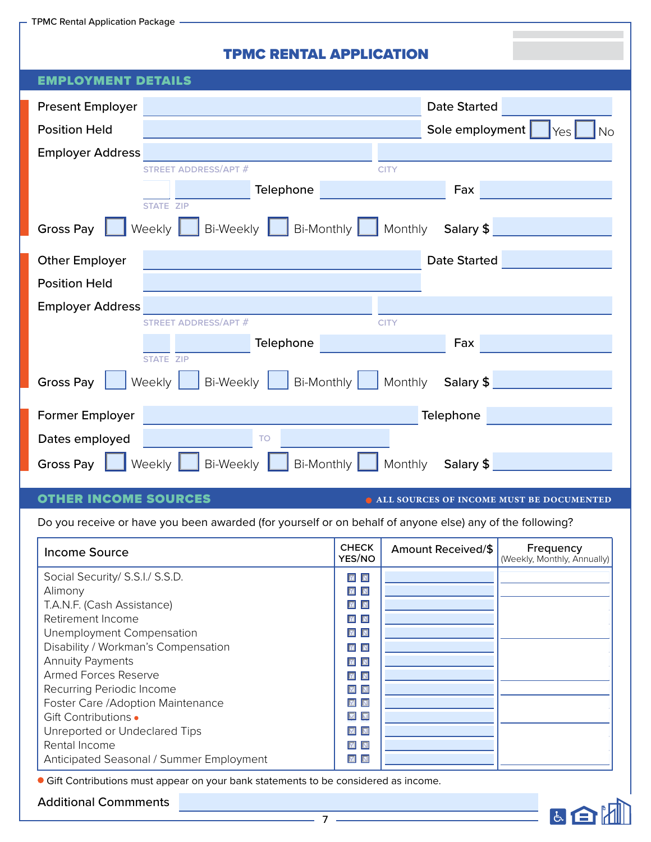- TPMC Rental Application Package  $\cdot$ 

# TPMC RENTAL APPLICATION

| EMPLOYMENT                                                          |                                     |
|---------------------------------------------------------------------|-------------------------------------|
|                                                                     |                                     |
| <b>Present Employer</b>                                             | <b>Date Started</b>                 |
| <b>Position Held</b>                                                | Sole employment<br><b>No</b><br>Yes |
| <b>Employer Address</b>                                             |                                     |
| <b>STREET ADDRESS/APT #</b>                                         | <b>CITY</b>                         |
| Telephone                                                           | Fax                                 |
| <b>STATE ZIP</b>                                                    |                                     |
| Bi-Weekly  <br>Weekly<br><b>Gross Pay</b>                           | Bi-Monthly Monthly<br>Salary \$     |
| <b>Other Employer</b>                                               | <b>Date Started</b>                 |
| <b>Position Held</b>                                                |                                     |
| <b>Employer Address</b>                                             |                                     |
| <b>STREET ADDRESS/APT #</b>                                         | <b>CITY</b>                         |
| Telephone                                                           | Fax                                 |
| <b>STATE ZIP</b>                                                    |                                     |
| <b>Bi-Monthly</b><br><b>Gross Pay</b><br><b>Bi-Weekly</b><br>Weekly | Monthly<br>Salary \$                |
| Former Employer                                                     | Telephone                           |
| Dates employed<br><b>TO</b>                                         |                                     |
|                                                                     |                                     |
| <b>Bi-Weekly</b><br>Bi-Monthly<br><b>Gross Pay</b><br>Weekly        | Monthly<br>Salary \$                |

# OTHER INCOME SOURCES

 $\bullet$  **ALL SOURCES OF INCOME MUST BE DOCUMENTED** 

医白

Do you receive or have you been awarded (for yourself or on behalf of anyone else) any of the following?

| <b>Income Source</b>                     | <b>CHECK</b><br>YES/NO                                                      | Amount Received/\$ | Frequency<br>(Weekly, Monthly, Annually) |
|------------------------------------------|-----------------------------------------------------------------------------|--------------------|------------------------------------------|
| Social Security/ S.S.I./ S.S.D.          | $\begin{array}{ c c c }\hline \textbf{M} & \textbf{N} \\\hline \end{array}$ |                    |                                          |
| Alimony                                  | $\mathbf{M}$<br>$\overline{\mathbf{N}}$                                     |                    |                                          |
| T.A.N.F. (Cash Assistance)               | $\boxed{\mathbf{M}}$                                                        |                    |                                          |
| Retirement Income                        | $\mathbf{M}$<br>$\blacksquare$                                              |                    |                                          |
| Unemployment Compensation                | $\boxed{\mathbf{M}}$                                                        |                    |                                          |
| Disability / Workman's Compensation      | $\overline{\mathbf{M}}$<br>$\overline{\mathbf{N}}$                          |                    |                                          |
| <b>Annuity Payments</b>                  | $\overline{\mathbb{M}}$<br>$\overline{\mathbf{N}}$                          |                    |                                          |
| <b>Armed Forces Reserve</b>              | $\sqrt{N}$                                                                  |                    |                                          |
| Recurring Periodic Income                | $\boxed{\text{M}}$                                                          |                    |                                          |
| Foster Care /Adoption Maintenance        | $\overline{\mathbf{M}}$<br>$\overline{\mathbf{N}}$                          |                    |                                          |
| Gift Contributions •                     | $\boxed{\blacksquare} \quad \boxed{\blacksquare}$                           |                    |                                          |
| Unreported or Undeclared Tips            | ☑ △                                                                         |                    |                                          |
| Rental Income                            | <b>M</b>                                                                    |                    |                                          |
| Anticipated Seasonal / Summer Employment | $\overline{\mathbb{M}}$<br>$\overline{\mathbf{N}}$                          |                    |                                          |

Gift Contributions must appear on your bank statements to be considered as income.

#### Additional Commments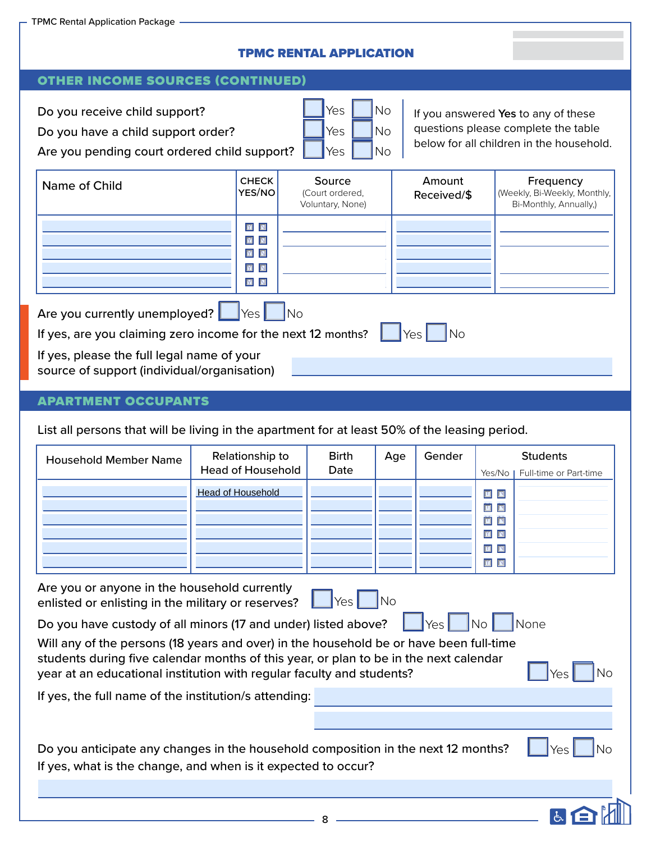# TPMC RENTAL APPLICATION

### OTHER INCOME SOURCES (CONTINUED)

Do you receive child support? Do you have a child support order?

Are you pending court ordered child support?

| Yes | Νo |
|-----|----|
| Yes | Νo |
| Yes | No |

If you answered **Yes** to any of these questions please complete the table below for all children in the household.

| Name of Child                                                                                                                                  | <b>CHECK</b><br>YES/NO                                                                                               | Source<br>(Court ordered,<br>Voluntary, None) | Amount<br>Received/\$ | Frequency<br>(Weekly, Bi-Weekly, Monthly,<br>Bi-Monthly, Annually,) |  |  |
|------------------------------------------------------------------------------------------------------------------------------------------------|----------------------------------------------------------------------------------------------------------------------|-----------------------------------------------|-----------------------|---------------------------------------------------------------------|--|--|
|                                                                                                                                                | $\boxed{\textbf{M}}$<br>$\boxed{\textbf{M}}$<br>$\boxed{\mathbf{M}}$<br>$\boxed{\textbf{M}}$<br>$\boxed{\textbf{M}}$ |                                               |                       |                                                                     |  |  |
| Are you currently unemployed?   Yes   No<br>If yes, are you claiming zero income for the next 12 months?<br>$\overline{\phantom{a}}$ No<br>Yes |                                                                                                                      |                                               |                       |                                                                     |  |  |
| If yes, please the full legal name of your<br>source of support (individual/organisation)                                                      |                                                                                                                      |                                               |                       |                                                                     |  |  |

### APARTMENT OCCUPANTS

List all persons that will be living in the apartment for at least 50% of the leasing period.

| <b>Household Member Name</b> | Relationship to<br><b>Head of Household</b> | <b>Birth</b><br>Date | Age | Gender | Yes/No I                                                                                                                                                                                        | <b>Students</b><br>Full-time or Part-time |
|------------------------------|---------------------------------------------|----------------------|-----|--------|-------------------------------------------------------------------------------------------------------------------------------------------------------------------------------------------------|-------------------------------------------|
|                              | <b>Head of Household</b>                    |                      |     |        | $\begin{array}{c c} \hline \textbf{M} & \textbf{N} \end{array}$<br>回回<br>$\boxed{\blacksquare} \quad \boxed{\blacksquare}$<br>$\boxed{\blacksquare} \quad \blacksquare$<br>$\boxed{\textbf{M}}$ |                                           |

 $\parallel$  Yes No Are you or anyone in the household currently enlisted or enlisting in the military or reserves?

Do you have custody of all minors (17 and under) listed above?  $\begin{array}{|c|c|}\hline \text{Yes} \end{array}$ 

No

Yes

因白

No

No

**Yes** 

**None** 

Will any of the persons (18 years and over) in the household be or have been full-time students during five calendar months of this year, or plan to be in the next calendar year at an educational institution with regular faculty and students?

If yes, the full name of the institution/s attending:

| Do you anticipate any changes in the household composition in the next 12 months? |  |
|-----------------------------------------------------------------------------------|--|
| If yes, what is the change, and when is it expected to occur?                     |  |

8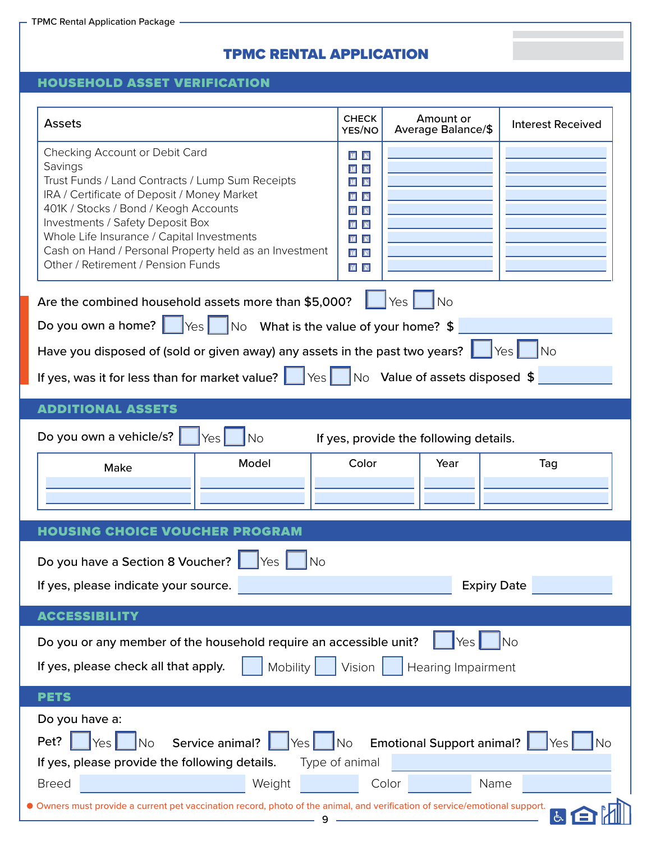# TPMC RENTAL APPLICATION

×

# HOUSEHOLD ASSET VERIFICATION

| <b>Assets</b>                                                                                                                                                                                                           | <b>CHECK</b><br>YES/NO                                                                          | Amount or<br>Average Balance/\$        | <b>Interest Received</b> |
|-------------------------------------------------------------------------------------------------------------------------------------------------------------------------------------------------------------------------|-------------------------------------------------------------------------------------------------|----------------------------------------|--------------------------|
| Checking Account or Debit Card<br>Savings<br>Trust Funds / Land Contracts / Lump Sum Receipts<br>IRA / Certificate of Deposit / Money Market                                                                            | 国国<br>$\boxed{\mathbf{M}}$<br>$\blacksquare$<br>回回                                              |                                        |                          |
| 401K / Stocks / Bond / Keogh Accounts<br>Investments / Safety Deposit Box<br>Whole Life Insurance / Capital Investments<br>Cash on Hand / Personal Property held as an Investment<br>Other / Retirement / Pension Funds | $\boxed{\blacksquare} \quad \blacksquare$<br>$\blacksquare$<br><b>M</b><br>$\blacksquare$<br>⊠⊠ |                                        |                          |
| Are the combined household assets more than \$5,000?                                                                                                                                                                    |                                                                                                 | Yes<br><b>No</b>                       |                          |
| Do you own a home? $\Box$ Yes $\Box$ No What is the value of your home? \$                                                                                                                                              |                                                                                                 |                                        |                          |
| Have you disposed of (sold or given away) any assets in the past two years? $\vert$                                                                                                                                     |                                                                                                 |                                        | No.<br>Yes I             |
| If yes, was it for less than for market value? $\ \cdot\ $ Yes $\ \cdot\ $ No Value of assets disposed \$                                                                                                               |                                                                                                 |                                        |                          |
| <b>ADDITIONAL ASSETS</b>                                                                                                                                                                                                |                                                                                                 |                                        |                          |
| Do you own a vehicle/s?<br>Yes<br><b>No</b>                                                                                                                                                                             |                                                                                                 | If yes, provide the following details. |                          |
| Model<br>Make                                                                                                                                                                                                           | Color                                                                                           | Year                                   | Tag                      |
| <b>HOUSING CHOICE VOUCHER PROGRAM</b>                                                                                                                                                                                   |                                                                                                 |                                        |                          |
| Do you have a Section 8 Voucher?<br>Yes<br><b>No</b>                                                                                                                                                                    |                                                                                                 |                                        |                          |
| If yes, please indicate your source.                                                                                                                                                                                    |                                                                                                 |                                        | <b>Expiry Date</b>       |
| <b>ACCESSIBILITY</b>                                                                                                                                                                                                    |                                                                                                 |                                        |                          |
| Do you or any member of the household require an accessible unit?<br>If yes, please check all that apply.<br>Mobility                                                                                                   | Vision                                                                                          | Yes<br>Hearing Impairment              | <b>No</b>                |
| <b>PETS</b>                                                                                                                                                                                                             |                                                                                                 |                                        |                          |
| Do you have a:<br>Pet?<br>Service animal?<br><b>No</b><br>Yes<br>Yes<br>If yes, please provide the following details.                                                                                                   | No<br>Type of animal                                                                            | <b>Emotional Support animal?</b>       | <b>No</b><br>Yes         |
| Weight<br><b>Breed</b>                                                                                                                                                                                                  |                                                                                                 | Color                                  | Name                     |
| Owners must provide a current pet vaccination record, photo of the animal, and verification of service/emotional support.<br>9                                                                                          |                                                                                                 |                                        | 占                        |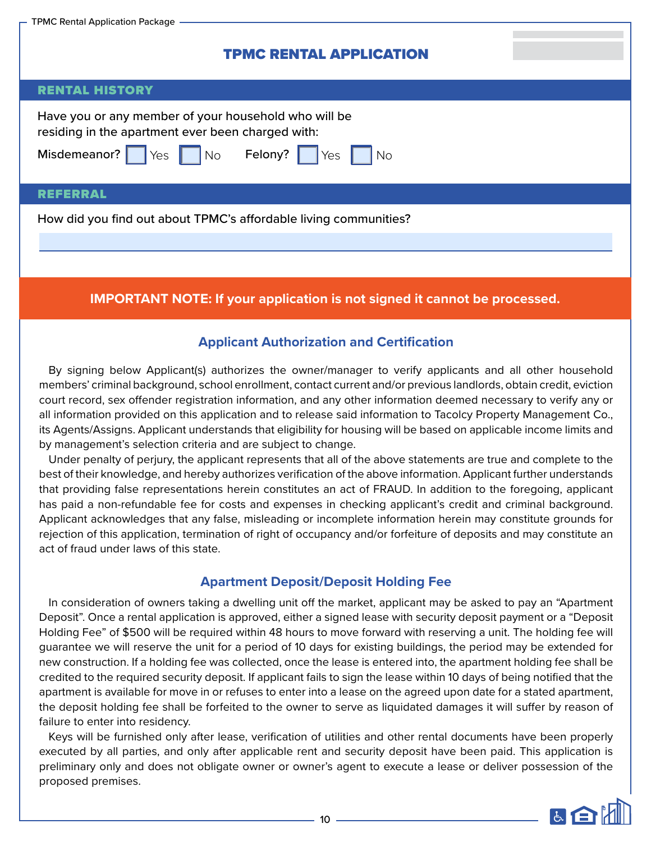| - TPMC Rental Application Package                                                                                                                                     |
|-----------------------------------------------------------------------------------------------------------------------------------------------------------------------|
| <b>TPMC RENTAL APPLICATION</b>                                                                                                                                        |
| <b>RENTAL HISTORY</b>                                                                                                                                                 |
| Have you or any member of your household who will be<br>residing in the apartment ever been charged with:<br>Misdemeanor? Yes No Felony? Yes<br>$\overline{\big }$ No |
| <b>REFERRAL</b>                                                                                                                                                       |
| How did you find out about TPMC's affordable living communities?                                                                                                      |

# **IMPORTANT NOTE: If your application is not signed it cannot be processed.**

# **Applicant Authorization and Certification**

By signing below Applicant(s) authorizes the owner/manager to verify applicants and all other household members' criminal background, school enrollment, contact current and/or previous landlords, obtain credit, eviction court record, sex offender registration information, and any other information deemed necessary to verify any or all information provided on this application and to release said information to Tacolcy Property Management Co., its Agents/Assigns. Applicant understands that eligibility for housing will be based on applicable income limits and by management's selection criteria and are subject to change.

Under penalty of perjury, the applicant represents that all of the above statements are true and complete to the best of their knowledge, and hereby authorizes verification of the above information. Applicant further understands that providing false representations herein constitutes an act of FRAUD. In addition to the foregoing, applicant has paid a non-refundable fee for costs and expenses in checking applicant's credit and criminal background. Applicant acknowledges that any false, misleading or incomplete information herein may constitute grounds for rejection of this application, termination of right of occupancy and/or forfeiture of deposits and may constitute an act of fraud under laws of this state.

# **Apartment Deposit/Deposit Holding Fee**

In consideration of owners taking a dwelling unit off the market, applicant may be asked to pay an "Apartment Deposit". Once a rental application is approved, either a signed lease with security deposit payment or a "Deposit Holding Fee" of \$500 will be required within 48 hours to move forward with reserving a unit. The holding fee will guarantee we will reserve the unit for a period of 10 days for existing buildings, the period may be extended for new construction. If a holding fee was collected, once the lease is entered into, the apartment holding fee shall be credited to the required security deposit. If applicant fails to sign the lease within 10 days of being notified that the apartment is available for move in or refuses to enter into a lease on the agreed upon date for a stated apartment, the deposit holding fee shall be forfeited to the owner to serve as liquidated damages it will suffer by reason of failure to enter into residency.

Keys will be furnished only after lease, verification of utilities and other rental documents have been properly executed by all parties, and only after applicable rent and security deposit have been paid. This application is preliminary only and does not obligate owner or owner's agent to execute a lease or deliver possession of the proposed premises.

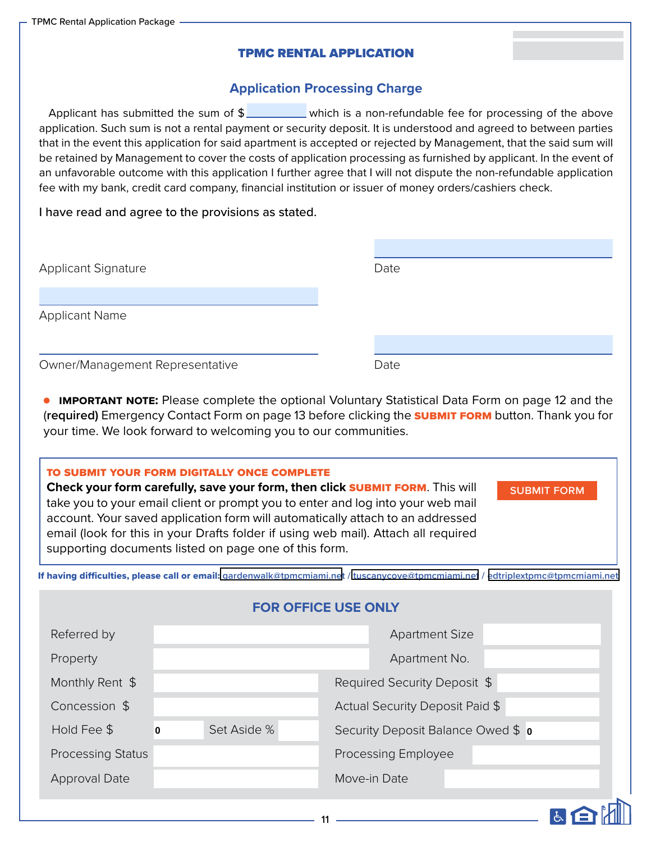# TPMC RENTAL APPLICATION

# **Application Processing Charge**

Applicant has submitted the sum of  $\frac{1}{2}$  which is a non-refundable fee for processing of the above application. Such sum is not a rental payment or security deposit. It is understood and agreed to between parties that in the event this application for said apartment is accepted or rejected by Management, that the said sum will be retained by Management to cover the costs of application processing as furnished by applicant. In the event of an unfavorable outcome with this application I further agree that I will not dispute the non-refundable application fee with my bank, credit card company, financial institution or issuer of money orders/cashiers check.

I have read and agree to the provisions as stated.

| <b>Applicant Signature</b>      | Date |
|---------------------------------|------|
| <b>Applicant Name</b>           |      |
| Owner/Management Representative | Date |

**• IMPORTANT NOTE:** Please complete the optional Voluntary Statistical Data Form on page 12 and the (**required)** Emergency Contact Form on page 13 before clicking the submit form button. Thank you for your time. We look forward to welcoming you to our communities.

#### to submit your form digitally once complete

**Check your form carefully, save your form, then click SUBMIT FORM.** This will take you to your email client or prompt you to enter and log into your web mail account. Your saved application form will automatically attach to an addressed email (look for this in your Drafts folder if using web mail). Attach all required supporting documents listed on page one of this form.

**SUBMIT FORM** 

MEM

If having difficulties, please call or email: **[gardenwalk@tpmcmiami.net](mailto:gardenwalk@tpmcmiami.net) / [tuscanycove@tpmcmiami.net](mailto:tuscanycove@tpmcmiami.net) / [edtriplextpmc@tpmcmiami.net](mailto:edtriplextpmc@tpmcmiami.net)**

| <b>FOR OFFICE USE ONLY</b> |                                                        |  |  |              |                                 |  |  |  |
|----------------------------|--------------------------------------------------------|--|--|--------------|---------------------------------|--|--|--|
| Referred by                |                                                        |  |  |              | <b>Apartment Size</b>           |  |  |  |
| Property                   |                                                        |  |  |              | Apartment No.                   |  |  |  |
| Monthly Rent \$            |                                                        |  |  |              | Required Security Deposit \$    |  |  |  |
| Concession \$              |                                                        |  |  |              | Actual Security Deposit Paid \$ |  |  |  |
| Hold Fee \$                | Set Aside %<br>Security Deposit Balance Owed \$ 0<br>0 |  |  |              |                                 |  |  |  |
| <b>Processing Status</b>   |                                                        |  |  |              | <b>Processing Employee</b>      |  |  |  |
| <b>Approval Date</b>       |                                                        |  |  | Move-in Date |                                 |  |  |  |
|                            |                                                        |  |  |              |                                 |  |  |  |

11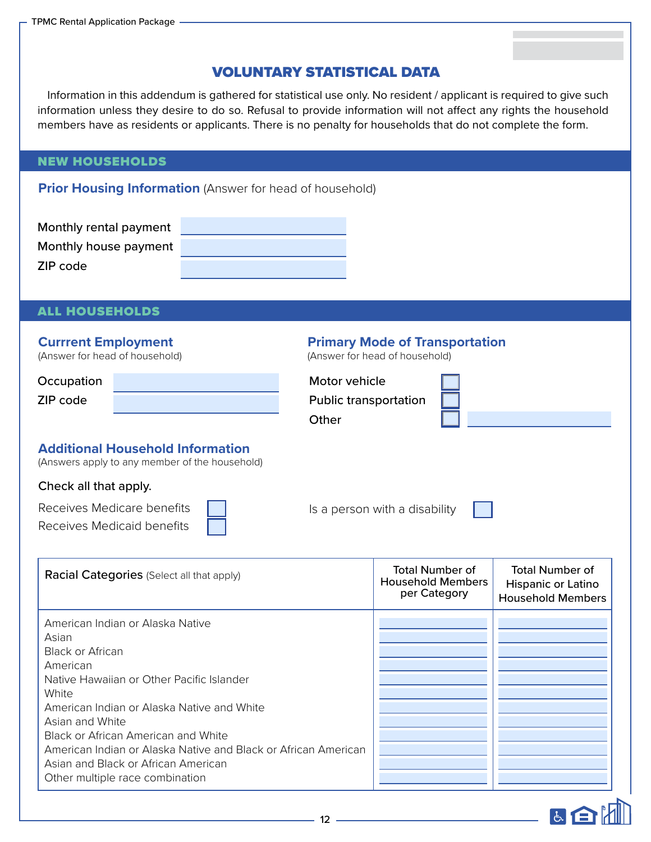# VOLUNTARY STATISTICAL DATA

Information in this addendum is gathered for statistical use only. No resident / applicant is required to give such information unless they desire to do so. Refusal to provide information will not affect any rights the household members have as residents or applicants. There is no penalty for households that do not complete the form.

### NEW HOUSEHOLDS

**Prior Housing Information** (Answer for head of household)

| Monthly rental payment |  |
|------------------------|--|
| Monthly house payment  |  |
| ZIP code               |  |

# ALL HOUSEHOLDS

# **Currrent Employment**

(Answer for head of household)

| Occupation | Motor vehicle                |
|------------|------------------------------|
| ZIP code   | <b>Public transportation</b> |

# **Primary Mode of Transportation**

(Answer for head of household)

| Motor vehicle                |  |
|------------------------------|--|
| <b>Public transportation</b> |  |
| Other                        |  |

# **Additional Household Information**

(Answers apply to any member of the household)

# Check all that apply.

| Receives Medicare benefits | Is a person with a disability $\begin{array}{ c c } \hline \end{array}$ |  |
|----------------------------|-------------------------------------------------------------------------|--|
| Receives Medicaid benefits |                                                                         |  |

| <b>Racial Categories</b> (Select all that apply)                                                                                                                                                                                                                                                                                                                                    | Total Number of<br><b>Household Members</b><br>per Category | <b>Total Number of</b><br>Hispanic or Latino<br><b>Household Members</b> |
|-------------------------------------------------------------------------------------------------------------------------------------------------------------------------------------------------------------------------------------------------------------------------------------------------------------------------------------------------------------------------------------|-------------------------------------------------------------|--------------------------------------------------------------------------|
| American Indian or Alaska Native<br>Asian<br>Black or African<br>American<br>Native Hawaiian or Other Pacific Islander<br>White<br>American Indian or Alaska Native and White<br>Asian and White<br>Black or African American and White<br>American Indian or Alaska Native and Black or African American<br>Asian and Black or African American<br>Other multiple race combination |                                                             |                                                                          |